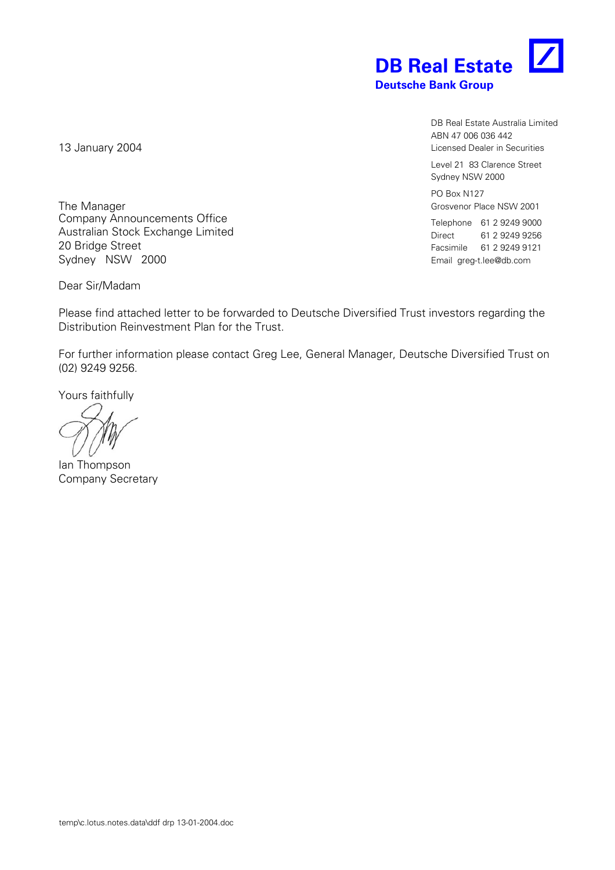

DB Real Estate Australia Limited ABN 47 006 036 442 Licensed Dealer in Securities

Level 21 83 Clarence Street Sydney NSW 2000

PO Box N127 Grosvenor Place NSW 2001

Telephone 61 2 9249 9000 Direct 61 2 9249 9256 Facsimile 61 2 9249 9121 Email greg-t.lee@db.com

13 January 2004

The Manager Company Announcements Office Australian Stock Exchange Limited 20 Bridge Street Sydney NSW 2000

Dear Sir/Madam

Please find attached letter to be forwarded to Deutsche Diversified Trust investors regarding the Distribution Reinvestment Plan for the Trust.

For further information please contact Greg Lee, General Manager, Deutsche Diversified Trust on (02) 9249 9256.

Yours faithfully

Ian Thompson Company Secretary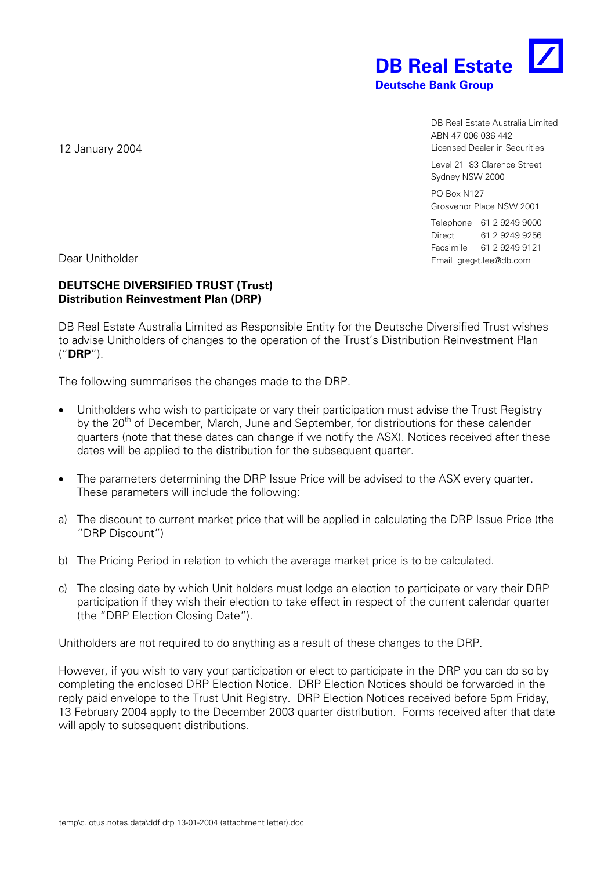

DB Real Estate Australia Limited ABN 47 006 036 442 Licensed Dealer in Securities

Level 21 83 Clarence Street Sydney NSW 2000

PO Box N127 Grosvenor Place NSW 2001

Telephone 61 2 9249 9000 Direct 61 2 9249 9256 Facsimile 61 2 9249 9121 Email greg-t.lee@db.com

12 January 2004

Dear Unitholder

## **DEUTSCHE DIVERSIFIED TRUST (Trust) Distribution Reinvestment Plan (DRP)**

DB Real Estate Australia Limited as Responsible Entity for the Deutsche Diversified Trust wishes to advise Unitholders of changes to the operation of the Trust's Distribution Reinvestment Plan ("**DRP**").

The following summarises the changes made to the DRP.

- Unitholders who wish to participate or vary their participation must advise the Trust Registry by the 20<sup>th</sup> of December, March, June and September, for distributions for these calender quarters (note that these dates can change if we notify the ASX). Notices received after these dates will be applied to the distribution for the subsequent quarter.
- The parameters determining the DRP Issue Price will be advised to the ASX every quarter. These parameters will include the following:
- a) The discount to current market price that will be applied in calculating the DRP Issue Price (the "DRP Discount")
- b) The Pricing Period in relation to which the average market price is to be calculated.
- c) The closing date by which Unit holders must lodge an election to participate or vary their DRP participation if they wish their election to take effect in respect of the current calendar quarter (the "DRP Election Closing Date").

Unitholders are not required to do anything as a result of these changes to the DRP.

However, if you wish to vary your participation or elect to participate in the DRP you can do so by completing the enclosed DRP Election Notice. DRP Election Notices should be forwarded in the reply paid envelope to the Trust Unit Registry. DRP Election Notices received before 5pm Friday, 13 February 2004 apply to the December 2003 quarter distribution. Forms received after that date will apply to subsequent distributions.